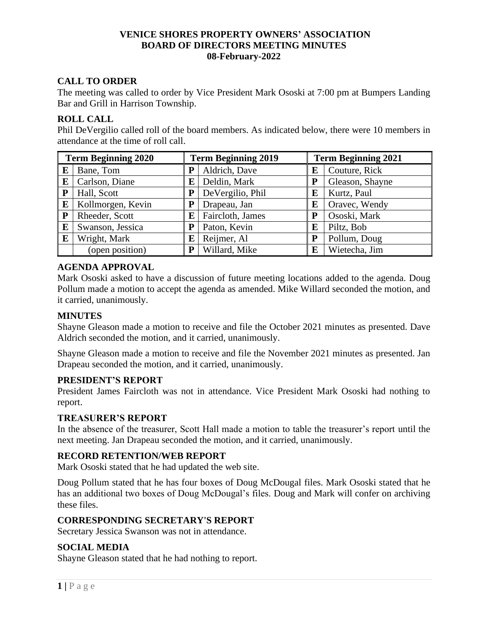### **VENICE SHORES PROPERTY OWNERS' ASSOCIATION BOARD OF DIRECTORS MEETING MINUTES 08-February-2022**

# **CALL TO ORDER**

The meeting was called to order by Vice President Mark Ososki at 7:00 pm at Bumpers Landing Bar and Grill in Harrison Township.

## **ROLL CALL**

Phil DeVergilio called roll of the board members. As indicated below, there were 10 members in attendance at the time of roll call.

| <b>Term Beginning 2020</b> |                   | <b>Term Beginning 2019</b> |                  | <b>Term Beginning 2021</b> |                 |
|----------------------------|-------------------|----------------------------|------------------|----------------------------|-----------------|
| E                          | Bane, Tom         | P                          | Aldrich, Dave    | E                          | Couture, Rick   |
| E                          | Carlson, Diane    | E                          | Deldin, Mark     | P                          | Gleason, Shayne |
| P                          | Hall, Scott       |                            | DeVergilio, Phil | E                          | Kurtz, Paul     |
| E                          | Kollmorgen, Kevin |                            | Drapeau, Jan     | E                          | Oravec, Wendy   |
| ${\bf P}$                  | Rheeder, Scott    | E                          | Faircloth, James | P                          | Ososki, Mark    |
| E                          | Swanson, Jessica  | P                          | Paton, Kevin     | E                          | Piltz, Bob      |
| E                          | Wright, Mark      | E                          | Reijmer, Al      | P                          | Pollum, Doug    |
|                            | (open position)   | P                          | Willard, Mike    | E                          | Wietecha, Jim   |

## **AGENDA APPROVAL**

Mark Ososki asked to have a discussion of future meeting locations added to the agenda. Doug Pollum made a motion to accept the agenda as amended. Mike Willard seconded the motion, and it carried, unanimously.

# **MINUTES**

Shayne Gleason made a motion to receive and file the October 2021 minutes as presented. Dave Aldrich seconded the motion, and it carried, unanimously.

Shayne Gleason made a motion to receive and file the November 2021 minutes as presented. Jan Drapeau seconded the motion, and it carried, unanimously.

### **PRESIDENT'S REPORT**

President James Faircloth was not in attendance. Vice President Mark Ososki had nothing to report.

### **TREASURER'S REPORT**

In the absence of the treasurer, Scott Hall made a motion to table the treasurer's report until the next meeting. Jan Drapeau seconded the motion, and it carried, unanimously.

### **RECORD RETENTION/WEB REPORT**

Mark Ososki stated that he had updated the web site.

Doug Pollum stated that he has four boxes of Doug McDougal files. Mark Ososki stated that he has an additional two boxes of Doug McDougal's files. Doug and Mark will confer on archiving these files.

### **CORRESPONDING SECRETARY'S REPORT**

Secretary Jessica Swanson was not in attendance.

# **SOCIAL MEDIA**

Shayne Gleason stated that he had nothing to report.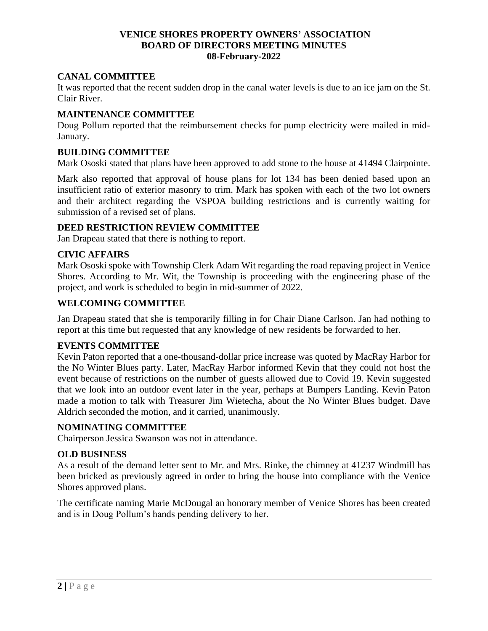#### **VENICE SHORES PROPERTY OWNERS' ASSOCIATION BOARD OF DIRECTORS MEETING MINUTES 08-February-2022**

## **CANAL COMMITTEE**

It was reported that the recent sudden drop in the canal water levels is due to an ice jam on the St. Clair River.

## **MAINTENANCE COMMITTEE**

Doug Pollum reported that the reimbursement checks for pump electricity were mailed in mid-January.

### **BUILDING COMMITTEE**

Mark Ososki stated that plans have been approved to add stone to the house at 41494 Clairpointe.

Mark also reported that approval of house plans for lot 134 has been denied based upon an insufficient ratio of exterior masonry to trim. Mark has spoken with each of the two lot owners and their architect regarding the VSPOA building restrictions and is currently waiting for submission of a revised set of plans.

### **DEED RESTRICTION REVIEW COMMITTEE**

Jan Drapeau stated that there is nothing to report.

### **CIVIC AFFAIRS**

Mark Ososki spoke with Township Clerk Adam Wit regarding the road repaving project in Venice Shores. According to Mr. Wit, the Township is proceeding with the engineering phase of the project, and work is scheduled to begin in mid-summer of 2022.

### **WELCOMING COMMITTEE**

Jan Drapeau stated that she is temporarily filling in for Chair Diane Carlson. Jan had nothing to report at this time but requested that any knowledge of new residents be forwarded to her.

# **EVENTS COMMITTEE**

Kevin Paton reported that a one-thousand-dollar price increase was quoted by MacRay Harbor for the No Winter Blues party. Later, MacRay Harbor informed Kevin that they could not host the event because of restrictions on the number of guests allowed due to Covid 19. Kevin suggested that we look into an outdoor event later in the year, perhaps at Bumpers Landing. Kevin Paton made a motion to talk with Treasurer Jim Wietecha, about the No Winter Blues budget. Dave Aldrich seconded the motion, and it carried, unanimously.

### **NOMINATING COMMITTEE**

Chairperson Jessica Swanson was not in attendance.

### **OLD BUSINESS**

As a result of the demand letter sent to Mr. and Mrs. Rinke, the chimney at 41237 Windmill has been bricked as previously agreed in order to bring the house into compliance with the Venice Shores approved plans.

The certificate naming Marie McDougal an honorary member of Venice Shores has been created and is in Doug Pollum's hands pending delivery to her.